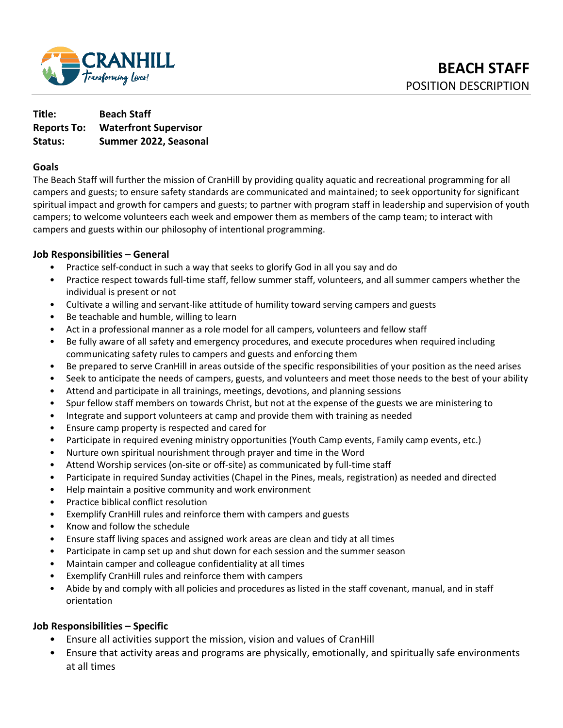

| Title:             | <b>Beach Staff</b>           |
|--------------------|------------------------------|
| <b>Reports To:</b> | <b>Waterfront Supervisor</b> |
| Status:            | Summer 2022, Seasonal        |

### **Goals**

The Beach Staff will further the mission of CranHill by providing quality aquatic and recreational programming for all campers and guests; to ensure safety standards are communicated and maintained; to seek opportunity for significant spiritual impact and growth for campers and guests; to partner with program staff in leadership and supervision of youth campers; to welcome volunteers each week and empower them as members of the camp team; to interact with campers and guests within our philosophy of intentional programming.

### **Job Responsibilities – General**

- Practice self-conduct in such a way that seeks to glorify God in all you say and do
- Practice respect towards full-time staff, fellow summer staff, volunteers, and all summer campers whether the individual is present or not
- Cultivate a willing and servant-like attitude of humility toward serving campers and guests
- Be teachable and humble, willing to learn
- Act in a professional manner as a role model for all campers, volunteers and fellow staff
- Be fully aware of all safety and emergency procedures, and execute procedures when required including communicating safety rules to campers and guests and enforcing them
- Be prepared to serve CranHill in areas outside of the specific responsibilities of your position as the need arises
- Seek to anticipate the needs of campers, guests, and volunteers and meet those needs to the best of your ability
- Attend and participate in all trainings, meetings, devotions, and planning sessions
- Spur fellow staff members on towards Christ, but not at the expense of the guests we are ministering to
- Integrate and support volunteers at camp and provide them with training as needed
- Ensure camp property is respected and cared for
- Participate in required evening ministry opportunities (Youth Camp events, Family camp events, etc.)
- Nurture own spiritual nourishment through prayer and time in the Word
- Attend Worship services (on-site or off-site) as communicated by full-time staff
- Participate in required Sunday activities (Chapel in the Pines, meals, registration) as needed and directed
- Help maintain a positive community and work environment
- Practice biblical conflict resolution
- Exemplify CranHill rules and reinforce them with campers and guests
- Know and follow the schedule
- Ensure staff living spaces and assigned work areas are clean and tidy at all times
- Participate in camp set up and shut down for each session and the summer season
- Maintain camper and colleague confidentiality at all times
- Exemplify CranHill rules and reinforce them with campers
- Abide by and comply with all policies and procedures as listed in the staff covenant, manual, and in staff orientation

### **Job Responsibilities – Specific**

- Ensure all activities support the mission, vision and values of CranHill
- Ensure that activity areas and programs are physically, emotionally, and spiritually safe environments at all times